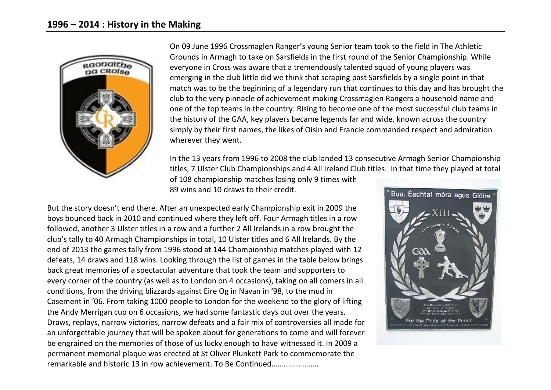

On 09 June 1996 Crossmaglen Ranger's young Senior team took to the field in The Athletic Grounds in Armagh to take on Sarsfields in the first round of the Senior Championship. While everyone in Cross was aware that a tremendously talented squad of young players was emerging in the club little did we think that scraping past Sarsfields by a single point in that match was to be the beginning of a legendary run that continues to this day and has brought the club to the very pinnacle of achievement making Crossmaglen Rangers a household name and one of the top teams in the country. Rising to become one of the most successful club teams in the history of the GAA, key players became legends far and wide, known across the country simply by their first names, the likes of Oisin and Francie commanded respect and admiration wherever they went.

In the 13 years from 1996 to 2008 the club landed 13 consecutive Armagh Senior Championship titles, 7 Ulster Club Championships and 4 All Ireland Club titles. In that time they played at total

of 108 championship matches losing only 9 times with 89 wins and 10 draws to their credit.

But the story doesn't end there. After an unexpected early Championship exit in 2009 the boys bounced back in 2010 and continued where they left off. Four Armagh titles in a row followed, another 3 Ulster titles in a row and a further 2 All Irelands in a row brought the club's tally to 40 Armagh Championships in total, 10 Ulster titles and 6 All Irelands. By the end of 2013 the games tally from 1996 stood at 144 Championship matches played with 12 defeats, 14 draws and 118 wins. Looking through the list of games in the table below brings back great memories of a spectacular adventure that took the team and supporters to every corner of the country (as well as to London on 4 occasions), taking on all comers in all conditions, from the driving blizzards against Eire Og in Navan in '98, to the mud in Casement in '06. From taking 1000 people to London for the weekend to the glory of lifting the Andy Merrigan cup on 6 occasions, we had some fantastic days out over the years. Draws, replays, narrow victories, narrow defeats and a fair mix of controversies all made for an unforgettable journey that will be spoken about for generations to come and will forever be engrained on the memories of those of us lucky enough to have witnessed it. In 2009 a permanent memorial plaque was erected at St Oliver Plunkett Park to commemorate the remarkable and historic 13 in row achievement. To Be Continued

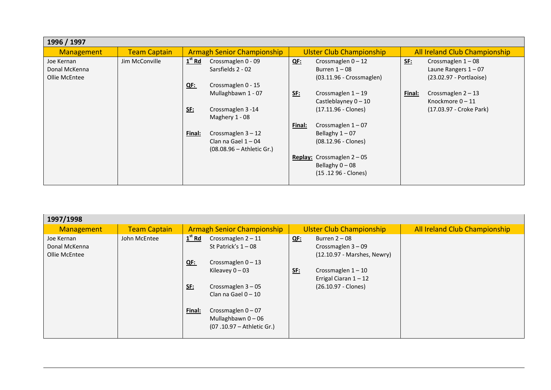| 1996 / 1997       |                     |            |                                   |            |                                     |            |                                      |
|-------------------|---------------------|------------|-----------------------------------|------------|-------------------------------------|------------|--------------------------------------|
| <b>Management</b> | <b>Team Captain</b> |            | <b>Armagh Senior Championship</b> |            | <b>Ulster Club Championship</b>     |            | <b>All Ireland Club Championship</b> |
| Joe Kernan        | Jim McConville      | $1st$ Rd   | Crossmaglen 0 - 09                | <u>QE:</u> | Crossmaglen $0 - 12$                | <b>SE:</b> | Crossmaglen $1-08$                   |
| Donal McKenna     |                     |            | Sarsfields 2 - 02                 |            | Burren $1 - 08$                     |            | Laune Rangers $1 - 07$               |
| Ollie McEntee     |                     |            |                                   |            | $(03.11.96 - Crossmaglen)$          |            | (23.02.97 - Portlaoise)              |
|                   |                     | <u>QF:</u> | Crossmaglen 0 - 15                |            |                                     |            |                                      |
|                   |                     |            | Mullaghbawn 1 - 07                | <u>SE:</u> | Crossmaglen $1 - 19$                | Final:     | Crossmaglen $2 - 13$                 |
|                   |                     |            |                                   |            | Castleblayney $0 - 10$              |            | Knockmore $0 - 11$                   |
|                   |                     | <b>SE:</b> | Crossmaglen 3 -14                 |            | $(17.11.96 - Clones)$               |            | (17.03.97 - Croke Park)              |
|                   |                     |            | Maghery 1 - 08                    |            |                                     |            |                                      |
|                   |                     |            |                                   | Final:     | Crossmaglen $1-07$                  |            |                                      |
|                   |                     | Final:     | Crossmaglen $3 - 12$              |            | Bellaghy $1 - 07$                   |            |                                      |
|                   |                     |            | Clan na Gael $1 - 04$             |            | $(08.12.96 - Clones)$               |            |                                      |
|                   |                     |            | (08.08.96 - Athletic Gr.)         |            |                                     |            |                                      |
|                   |                     |            |                                   |            | <b>Replay:</b> Crossmaglen $2 - 05$ |            |                                      |
|                   |                     |            |                                   |            | Bellaghy $0 - 08$                   |            |                                      |
|                   |                     |            |                                   |            | (15.12 96 - Clones)                 |            |                                      |
|                   |                     |            |                                   |            |                                     |            |                                      |

| 1997/1998                                    |                     |                                                                                                                                                                                                                                                                            |                                                                                                                                                                            |                               |  |  |  |
|----------------------------------------------|---------------------|----------------------------------------------------------------------------------------------------------------------------------------------------------------------------------------------------------------------------------------------------------------------------|----------------------------------------------------------------------------------------------------------------------------------------------------------------------------|-------------------------------|--|--|--|
| <b>Management</b>                            | <b>Team Captain</b> | <b>Armagh Senior Championship</b>                                                                                                                                                                                                                                          | <b>Ulster Club Championship</b>                                                                                                                                            | All Ireland Club Championship |  |  |  |
| Joe Kernan<br>Donal McKenna<br>Ollie McEntee | John McEntee        | $1st$ Rd<br>Crossmaglen $2 - 11$<br>St Patrick's $1 - 08$<br>Crossmaglen $0 - 13$<br><u>QF:</u><br>Kileavey $0 - 03$<br><u>SE:</u><br>Crossmaglen $3 - 05$<br>Clan na Gael $0 - 10$<br>Crossmaglen $0 - 07$<br>Final:<br>Mullaghbawn $0 - 06$<br>(07.10.97 - Athletic Gr.) | Burren $2 - 08$<br>$QF$ :<br>Crossmaglen $3 - 09$<br>(12.10.97 - Marshes, Newry)<br>Crossmaglen $1 - 10$<br><u>SE:</u><br>Errigal Ciaran $1 - 12$<br>$(26.10.97 - Clones)$ |                               |  |  |  |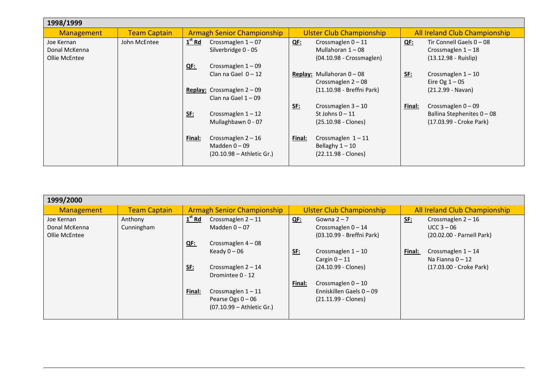| 1998/1999                                    |                     |                                                                                  |                                                                            |                                      |                                                                              |
|----------------------------------------------|---------------------|----------------------------------------------------------------------------------|----------------------------------------------------------------------------|--------------------------------------|------------------------------------------------------------------------------|
| <b>Management</b>                            | <b>Team Captain</b> | <b>Armagh Senior Championship</b>                                                |                                                                            | <b>Ulster Club Championship</b>      | All Ireland Club Championship                                                |
| Joe Kernan<br>Donal McKenna<br>Ollie McEntee | John McEntee        | $1st$ Rd<br>Crossmaglen $1-07$<br>Silverbridge 0 - 05                            | Crossmaglen $0 - 11$<br>$QF$ :<br>Mullahoran $1 - 08$                      | $QE$ :<br>$(04.10.98 - Crossmaglen)$ | Tir Connell Gaels $0 - 08$<br>Crossmaglen $1 - 18$<br>$(13.12.98 - Ruislip)$ |
|                                              |                     | Crossmaglen $1 - 09$<br>QF:<br>Clan na Gael $0 - 12$                             | Replay: Mullahoran $0 - 08$<br>Crossmaglen $2 - 08$                        | <u>SE:</u>                           | Crossmaglen $1 - 10$<br>Eire Og $1 - 05$                                     |
|                                              |                     | <b>Replay:</b> Crossmaglen $2 - 09$<br>Clan na Gael $1 - 09$                     | Crossmaglen $3 - 10$<br><u>SF:</u>                                         | (11.10.98 - Breffni Park)<br>Final:  | (21.2.99 - Navan)<br>Crossmaglen $0 - 09$                                    |
|                                              |                     | <u>SE:</u><br>Crossmaglen $1 - 12$<br>Mullaghbawn 0 - 07                         | St Johns $0 - 11$<br>(25.10.98 - Clones)                                   |                                      | Ballina Stephenites $0 - 08$<br>(17.03.99 - Croke Park)                      |
|                                              |                     | Crossmaglen $2 - 16$<br>Final:<br>Madden $0 - 09$<br>$(20.10.98 -$ Athletic Gr.) | Crossmaglen $1 - 11$<br>Final:<br>Bellaghy $1 - 10$<br>(22.11.98 - Clones) |                                      |                                                                              |

| 1999/2000                                    |                       |                                                                                                        |                                                                                     |                                                                                 |
|----------------------------------------------|-----------------------|--------------------------------------------------------------------------------------------------------|-------------------------------------------------------------------------------------|---------------------------------------------------------------------------------|
| <b>Management</b>                            | <b>Team Captain</b>   | <b>Armagh Senior Championship</b>                                                                      | <b>Ulster Club Championship</b>                                                     | All Ireland Club Championship                                                   |
| Joe Kernan<br>Donal McKenna<br>Ollie McEntee | Anthony<br>Cunningham | $1st$ Rd<br>Crossmaglen $2 - 11$<br>Madden $0 - 07$                                                    | <u>QF:</u><br>Gowna $2 - 7$<br>Crossmaglen $0 - 14$<br>(03.10.99 - Breffni Park)    | Crossmaglen $2 - 16$<br><u>SF:</u><br>$UCC$ 3 – 06<br>(20.02.00 - Parnell Park) |
|                                              |                       | Crossmaglen $4-08$<br><u>QF:</u><br>Keady $0 - 06$<br>Crossmaglen $2 - 14$<br><u>SE:</u>               | SE:<br>Crossmaglen $1 - 10$<br>Cargin $0 - 11$<br>(24.10.99 - Clones)               | Crossmaglen $1 - 14$<br>Final:<br>Na Fianna $0 - 12$<br>(17.03.00 - Croke Park) |
|                                              |                       | Dromintee 0 - 12<br>Crossmaglen $1 - 11$<br>Final:<br>Pearse Ogs $0 - 06$<br>(07.10.99 – Athletic Gr.) | Crossmaglen $0 - 10$<br>Final:<br>Enniskillen Gaels 0 - 09<br>$(21.11.99 - Clones)$ |                                                                                 |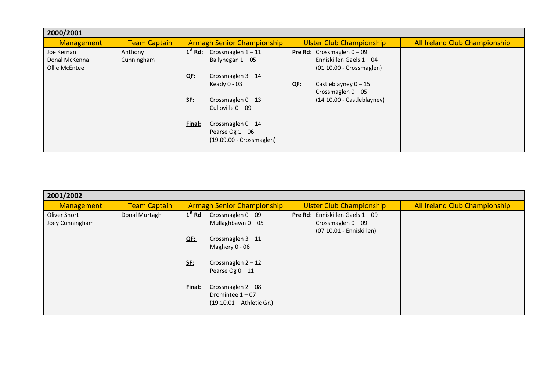| 2000/2001                   |                       |                                                                                |                                                                  |  |
|-----------------------------|-----------------------|--------------------------------------------------------------------------------|------------------------------------------------------------------|--|
| <b>Management</b>           | <b>Team Captain</b>   | <b>Armagh Senior Championship</b>                                              | All Ireland Club Championship<br><b>Ulster Club Championship</b> |  |
| Joe Kernan<br>Donal McKenna | Anthony<br>Cunningham | $1st$ Rd:<br>Crossmaglen $1 - 11$<br>Ballyhegan $1 - 05$                       | <b>Pre Rd:</b> Crossmaglen $0 - 09$<br>Enniskillen Gaels 1 - 04  |  |
| Ollie McEntee               |                       |                                                                                | (01.10.00 - Crossmaglen)                                         |  |
|                             |                       | Crossmaglen $3 - 14$<br>QF:                                                    |                                                                  |  |
|                             |                       | Keady $0 - 03$                                                                 | $QE$ :<br>Castleblayney $0 - 15$<br>Crossmaglen $0 - 05$         |  |
|                             |                       | <b>SE:</b><br>Crossmaglen $0 - 13$<br>Culloville $0 - 09$                      | (14.10.00 - Castleblayney)                                       |  |
|                             |                       | Crossmaglen $0 - 14$<br>Final:<br>Pearse Og $1-06$<br>(19.09.00 - Crossmaglen) |                                                                  |  |

| 2001/2002                       |                     |                                                                                                                                               |                                                                                         |                               |  |  |  |
|---------------------------------|---------------------|-----------------------------------------------------------------------------------------------------------------------------------------------|-----------------------------------------------------------------------------------------|-------------------------------|--|--|--|
| <b>Management</b>               | <b>Team Captain</b> | <b>Armagh Senior Championship</b>                                                                                                             | <b>Ulster Club Championship</b>                                                         | All Ireland Club Championship |  |  |  |
| Oliver Short<br>Joey Cunningham | Donal Murtagh       | $1st$ Rd<br>Crossmaglen $0 - 09$<br>Mullaghbawn $0 - 05$<br>Crossmaglen $3 - 11$<br>QF:<br>Maghery 0 - 06                                     | Enniskillen Gaels 1 - 09<br>Pre Rd:<br>Crossmaglen $0 - 09$<br>(07.10.01 - Enniskillen) |                               |  |  |  |
|                                 |                     | <u>SE:</u><br>Crossmaglen $2 - 12$<br>Pearse Og $0 - 11$<br>Crossmaglen $2 - 08$<br>Final:<br>Dromintee $1 - 07$<br>(19.10.01 - Athletic Gr.) |                                                                                         |                               |  |  |  |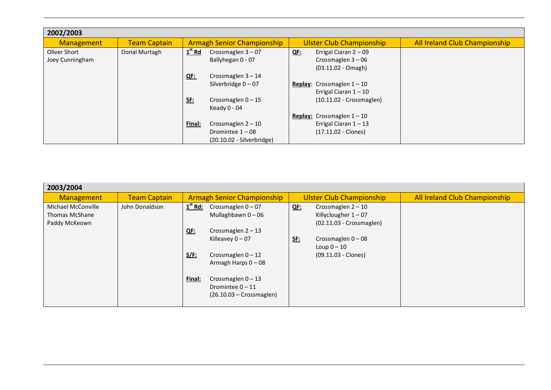| 2002/2003         |                     |            |                                   |            |                                     |                               |  |
|-------------------|---------------------|------------|-----------------------------------|------------|-------------------------------------|-------------------------------|--|
| <b>Management</b> | <b>Team Captain</b> |            | <b>Armagh Senior Championship</b> |            | <b>Ulster Club Championship</b>     | All Ireland Club Championship |  |
| Oliver Short      | Donal Murtagh       | $1st$ Rd   | Crossmaglen $3 - 07$              | <u>QF:</u> | Errigal Ciaran 2 - 09               |                               |  |
| Joey Cunningham   |                     |            | Ballyhegan 0 - 07                 |            | Crossmaglen $3-06$                  |                               |  |
|                   |                     |            |                                   |            | $(03.11.02 - Omagh)$                |                               |  |
|                   |                     | QF:        | Crossmaglen $3 - 14$              |            |                                     |                               |  |
|                   |                     |            | Silverbridge $0 - 07$             |            | <b>Replay:</b> Crossmaglen $1 - 10$ |                               |  |
|                   |                     |            |                                   |            | Errigal Ciaran $1 - 10$             |                               |  |
|                   |                     | <u>SE:</u> | Crossmaglen $0 - 15$              |            | $(10.11.02 - Crossmaglen)$          |                               |  |
|                   |                     |            | Keady 0 - 04                      |            |                                     |                               |  |
|                   |                     |            |                                   |            | <b>Replay:</b> Crossmaglen $1 - 10$ |                               |  |
|                   |                     | Final:     | Crossmaglen $2 - 10$              |            | Errigal Ciaran $1 - 13$             |                               |  |
|                   |                     |            | Dromintee $1 - 08$                |            | $(17.11.02 - Clones)$               |                               |  |
|                   |                     |            | $(20.10.02 - Silverbridge)$       |            |                                     |                               |  |

| 2003/2004             |                     |             |                                   |            |                                 |                               |  |  |
|-----------------------|---------------------|-------------|-----------------------------------|------------|---------------------------------|-------------------------------|--|--|
| <b>Management</b>     | <b>Team Captain</b> |             | <b>Armagh Senior Championship</b> |            | <b>Ulster Club Championship</b> | All Ireland Club Championship |  |  |
| Michael McConville    | John Donaldson      | $1st$ Rd:   | Crossmaglen $0 - 07$              | <u>QE:</u> | Crossmaglen $2 - 10$            |                               |  |  |
| <b>Thomas McShane</b> |                     |             | Mullaghbawn $0 - 06$              |            | Killyclougher $1 - 07$          |                               |  |  |
| Paddy McKeown         |                     |             |                                   |            | $(02.11.03 - Crossmaglen)$      |                               |  |  |
|                       |                     | QE          | Crossmaglen $2 - 13$              |            |                                 |                               |  |  |
|                       |                     |             | Killeavey $0 - 07$                | <u>SE:</u> | Crossmaglen $0 - 08$            |                               |  |  |
|                       |                     |             |                                   |            | Loup $0-10$                     |                               |  |  |
|                       |                     | <u>S/F:</u> | Crossmaglen $0 - 12$              |            | (09.11.03 - Clones)             |                               |  |  |
|                       |                     |             | Armagh Harps $0 - 08$             |            |                                 |                               |  |  |
|                       |                     |             |                                   |            |                                 |                               |  |  |
|                       |                     | Final:      | Crossmaglen $0 - 13$              |            |                                 |                               |  |  |
|                       |                     |             | Dromintee $0 - 11$                |            |                                 |                               |  |  |
|                       |                     |             | $(26.10.03 - Crossmaglen)$        |            |                                 |                               |  |  |
|                       |                     |             |                                   |            |                                 |                               |  |  |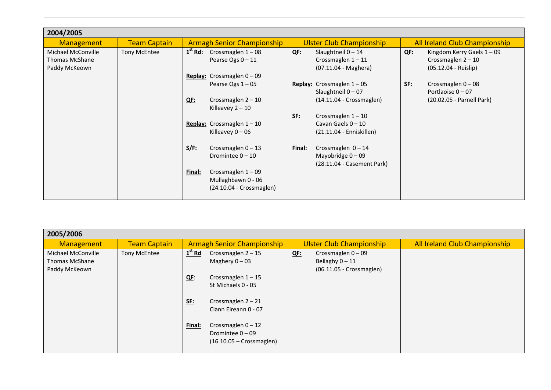| 2004/2005                                                    |                     |                                                                                           |                                                                                        |                                                                                            |
|--------------------------------------------------------------|---------------------|-------------------------------------------------------------------------------------------|----------------------------------------------------------------------------------------|--------------------------------------------------------------------------------------------|
| <b>Management</b>                                            | <b>Team Captain</b> | <b>Armagh Senior Championship</b>                                                         | <b>Ulster Club Championship</b>                                                        | All Ireland Club Championship                                                              |
| Michael McConville<br><b>Thomas McShane</b><br>Paddy McKeown | <b>Tony McEntee</b> | $1st$ Rd: Crossmaglen $1-08$<br>Pearse Ogs 0-11                                           | Slaughtneil $0 - 14$<br><b>QE:</b><br>Crossmaglen $1 - 11$<br>(07.11.04 - Maghera)     | <u>QF:</u><br>Kingdom Kerry Gaels $1 - 09$<br>Crossmaglen $2 - 10$<br>(05.12.04 - Ruislip) |
|                                                              |                     | Replay: Crossmaglen $0 - 09$<br>Pearse Ogs $1 - 05$<br>Crossmaglen $2 - 10$<br><b>QE:</b> | Replay: Crossmaglen $1 - 05$<br>Slaughtneil $0 - 07$<br>$(14.11.04 - Crossmaglen)$     | Crossmaglen $0 - 08$<br><u>SE:</u><br>Portlaoise 0-07<br>(20.02.05 - Parnell Park)         |
|                                                              |                     | Killeavey $2 - 10$<br>Replay: Crossmaglen $1 - 10$<br>Killeavey $0 - 06$                  | Crossmaglen $1 - 10$<br><u>SE:</u><br>Cavan Gaels $0 - 10$<br>(21.11.04 - Enniskillen) |                                                                                            |
|                                                              |                     | <u>S/F:</u><br>Crossmaglen $0 - 13$<br>Dromintee $0 - 10$                                 | Crossmaglen $0 - 14$<br>Final:<br>Mayobridge $0 - 09$<br>(28.11.04 - Casement Park)    |                                                                                            |
|                                                              |                     | Crossmaglen $1 - 09$<br>Final:<br>Mullaghbawn 0 - 06<br>(24.10.04 - Crossmaglen)          |                                                                                        |                                                                                            |

| 2005/2006                                                    |                     |                                                                                                                                                                                                                                                                  |                                                                                     |                               |
|--------------------------------------------------------------|---------------------|------------------------------------------------------------------------------------------------------------------------------------------------------------------------------------------------------------------------------------------------------------------|-------------------------------------------------------------------------------------|-------------------------------|
| <b>Management</b>                                            | Team Captain        | <b>Armagh Senior Championship</b>                                                                                                                                                                                                                                | <b>Ulster Club Championship</b>                                                     | All Ireland Club Championship |
| Michael McConville<br><b>Thomas McShane</b><br>Paddy McKeown | <b>Tony McEntee</b> | $1st$ Rd<br>Crossmaglen $2 - 15$<br>Maghery $0 - 03$<br>Crossmaglen $1 - 15$<br>$QE$ :<br>St Michaels 0 - 05<br><u>SE:</u><br>Crossmaglen $2 - 21$<br>Clann Eireann 0 - 07<br>Final:<br>Crossmaglen $0 - 12$<br>Dromintee $0 - 09$<br>$(16.10.05 - Crossmaglen)$ | Crossmaglen $0 - 09$<br><u>QF:</u><br>Bellaghy $0 - 11$<br>(06.11.05 - Crossmaglen) |                               |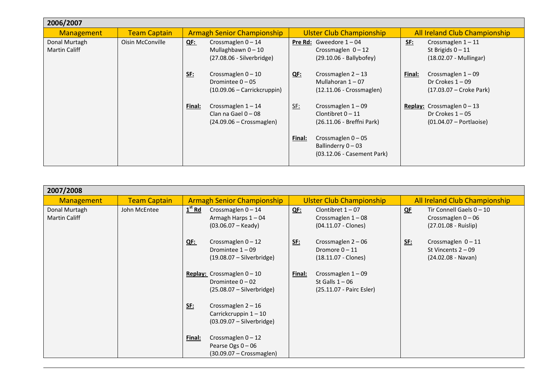| 2006/2007                             |                     |                                                                                           |                                                                                         |                                                                                        |
|---------------------------------------|---------------------|-------------------------------------------------------------------------------------------|-----------------------------------------------------------------------------------------|----------------------------------------------------------------------------------------|
| <b>Management</b>                     | <b>Team Captain</b> | <b>Armagh Senior Championship</b>                                                         | <b>Ulster Club Championship</b>                                                         | All Ireland Club Championship                                                          |
| Donal Murtagh<br><b>Martin Califf</b> | Oisin McConville    | Crossmaglen $0 - 14$<br><u>QF:</u><br>Mullaghbawn $0 - 10$<br>(27.08.06 - Silverbridge)   | Pre Rd: Gweedore $1 - 04$<br>Crossmaglen $0 - 12$<br>(29.10.06 - Ballybofey)            | Crossmaglen $1 - 11$<br><u>SF:</u><br>St Brigids $0 - 11$<br>(18.02.07 - Mullingar)    |
|                                       |                     | Crossmaglen $0 - 10$<br><u>SE:</u><br>Dromintee $0 - 05$<br>$(10.09.06 - Carrickcruppin)$ | Crossmaglen $2 - 13$<br><u>QF:</u><br>Mullahoran $1 - 07$<br>$(12.11.06 - Crossmaglen)$ | Crossmaglen $1 - 09$<br>Final:<br>Dr Crokes $1 - 09$<br>(17.03.07 – Croke Park)        |
|                                       |                     | Crossmaglen $1 - 14$<br>Final:<br>Clan na Gael $0 - 08$<br>$(24.09.06 - Crossmaglen)$     | <u>SF:</u><br>Crossmaglen $1 - 09$<br>Clontibret $0 - 11$<br>(26.11.06 - Breffni Park)  | <b>Replay:</b> Crossmaglen $0 - 13$<br>Dr Crokes $1 - 05$<br>$(01.04.07 -$ Portlaoise) |
|                                       |                     |                                                                                           | Crossmaglen $0 - 05$<br>Final:<br>Ballinderry $0 - 03$<br>(03.12.06 - Casement Park)    |                                                                                        |

| 2007/2008                             |                     |                                                                                              |                                                                                 |                                                                                    |  |  |  |
|---------------------------------------|---------------------|----------------------------------------------------------------------------------------------|---------------------------------------------------------------------------------|------------------------------------------------------------------------------------|--|--|--|
| <b>Management</b>                     | <b>Team Captain</b> | <b>Armagh Senior Championship</b>                                                            | <b>Ulster Club Championship</b>                                                 | All Ireland Club Championship                                                      |  |  |  |
| Donal Murtagh<br><b>Martin Califf</b> | John McEntee        | $1st$ Rd<br>Crossmaglen $0 - 14$<br>Armagh Harps 1-04<br>$(03.06.07 - Keady)$                | Clontibret $1 - 07$<br><u>QF:</u><br>Crossmaglen $1-08$<br>(04.11.07 - Clones)  | Tir Connell Gaels $0 - 10$<br>QF<br>Crossmaglen $0 - 06$<br>(27.01.08 - Ruislip)   |  |  |  |
|                                       |                     | Crossmaglen $0 - 12$<br>$QE$ :<br>Dromintee $1 - 09$<br>$(19.08.07 - Silverbridge)$          | Crossmaglen $2 - 06$<br><u>SF:</u><br>Dromore $0 - 11$<br>$(18.11.07 - Clones)$ | Crossmaglen $0 - 11$<br><u>SF:</u><br>St Vincents $2 - 09$<br>$(24.02.08 - Navan)$ |  |  |  |
|                                       |                     | Replay: Crossmaglen $0 - 10$<br>Dromintee $0 - 02$<br>$(25.08.07 - Silverbridge)$            | Crossmaglen $1-09$<br>Final:<br>St Galls $1 - 06$<br>(25.11.07 - Pairc Esler)   |                                                                                    |  |  |  |
|                                       |                     | Crossmaglen $2 - 16$<br><u>SE:</u><br>Carrickcruppin $1 - 10$<br>$(03.09.07 - Silverbridge)$ |                                                                                 |                                                                                    |  |  |  |
|                                       |                     | Crossmaglen $0 - 12$<br>Final:<br>Pearse Ogs $0 - 06$<br>$(30.09.07 - Crossmaglen)$          |                                                                                 |                                                                                    |  |  |  |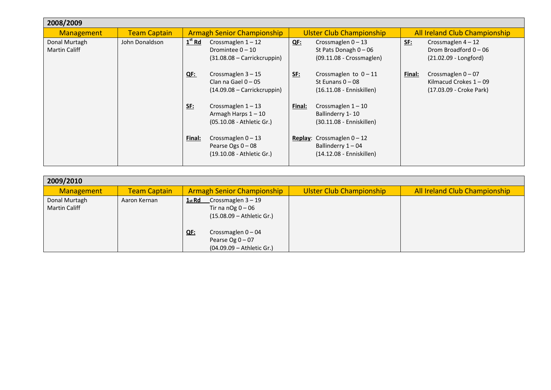| 2008/2009                      |                     |                                   |                                                                                |                                 |                                                                                  |                               |                                                                             |
|--------------------------------|---------------------|-----------------------------------|--------------------------------------------------------------------------------|---------------------------------|----------------------------------------------------------------------------------|-------------------------------|-----------------------------------------------------------------------------|
| <b>Management</b>              | <b>Team Captain</b> | <b>Armagh Senior Championship</b> |                                                                                | <b>Ulster Club Championship</b> |                                                                                  | All Ireland Club Championship |                                                                             |
| Donal Murtagh<br>Martin Califf | John Donaldson      | $1st$ Rd                          | Crossmaglen $1 - 12$<br>Dromintee $0 - 10$<br>$(31.08.08 - Carrickcruppin)$    | <u>QF:</u>                      | Crossmaglen $0 - 13$<br>St Pats Donagh $0 - 06$<br>(09.11.08 - Crossmaglen)      | <b>SE:</b>                    | Crossmaglen $4 - 12$<br>Drom Broadford $0 - 06$<br>$(21.02.09 - Longford)$  |
|                                |                     | <u>QF:</u>                        | Crossmaglen $3 - 15$<br>Clan na Gael $0 - 05$<br>$(14.09.08 - Carrickcruppin)$ | <u>SF:</u>                      | Crossmaglen to $0 - 11$<br>St Eunans $0 - 08$<br>(16.11.08 - Enniskillen)        | Final:                        | Crossmaglen $0 - 07$<br>Kilmacud Crokes $1 - 09$<br>(17.03.09 - Croke Park) |
|                                |                     | <u>SF:</u>                        | Crossmaglen $1 - 13$<br>Armagh Harps $1 - 10$<br>(05.10.08 - Athletic Gr.)     | Final:                          | Crossmaglen $1 - 10$<br>Ballinderry 1-10<br>(30.11.08 - Enniskillen)             |                               |                                                                             |
|                                |                     | Final:                            | Crossmaglen $0 - 13$<br>Pearse Ogs $0 - 08$<br>(19.10.08 - Athletic Gr.)       |                                 | Replay: Crossmaglen $0 - 12$<br>Ballinderry $1 - 04$<br>(14.12.08 - Enniskillen) |                               |                                                                             |

| 2009/2010                             |                     |                                                                                                |                                 |                               |  |  |  |  |  |
|---------------------------------------|---------------------|------------------------------------------------------------------------------------------------|---------------------------------|-------------------------------|--|--|--|--|--|
| Management                            | <b>Team Captain</b> | <b>Armagh Senior Championship</b>                                                              | <b>Ulster Club Championship</b> | All Ireland Club Championship |  |  |  |  |  |
| Donal Murtagh<br><b>Martin Califf</b> | Aaron Kernan        | $Crossmaglen 3 - 19$<br>1 <sub>st</sub> Rd<br>Tir na nOg $0 - 06$<br>(15.08.09 - Athletic Gr.) |                                 |                               |  |  |  |  |  |
|                                       |                     | Crossmaglen $0 - 04$<br>QF:<br>Pearse Og $0 - 07$<br>(04.09.09 - Athletic Gr.)                 |                                 |                               |  |  |  |  |  |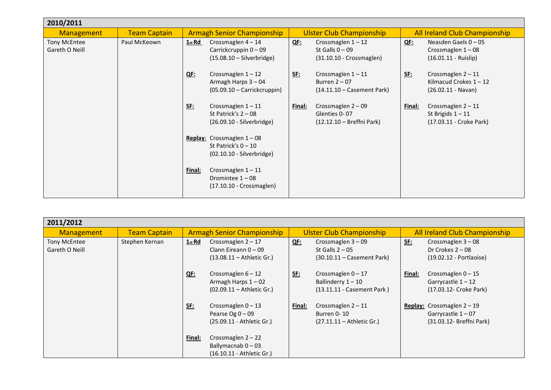| 2010/2011                             |                     |                                   |                                                                                             |                                 |                                                                         |                               |                                                                          |  |
|---------------------------------------|---------------------|-----------------------------------|---------------------------------------------------------------------------------------------|---------------------------------|-------------------------------------------------------------------------|-------------------------------|--------------------------------------------------------------------------|--|
| <b>Management</b>                     | <b>Team Captain</b> | <b>Armagh Senior Championship</b> |                                                                                             | <b>Ulster Club Championship</b> |                                                                         | All Ireland Club Championship |                                                                          |  |
| <b>Tony McEntee</b><br>Gareth O Neill | Paul McKeown        | 1 <sub>st</sub> Rd                | Crossmaglen $4-14$<br>Carrickcruppin 0-09<br>$(15.08.10 - Silverbridge)$                    | <u>QF:</u>                      | Crossmaglen $1 - 12$<br>St Galls $0 - 09$<br>(31.10.10 - Crossmaglen)   | <u>QE:</u>                    | Neasden Gaels $0 - 05$<br>Crossmaglen $1-08$<br>$(16.01.11 - Ruislip)$   |  |
|                                       |                     | <u>QE:</u>                        | Crossmaglen $1 - 12$<br>Armagh Harps 3 - 04<br>$(05.09.10 - Carrickcruppin)$                | <u>SF:</u>                      | Crossmaglen $1 - 11$<br>Burren $2 - 07$<br>$(14.11.10 - Casement Park)$ | <u>SF:</u>                    | Crossmaglen $2 - 11$<br>Kilmacud Crokes $1 - 12$<br>$(26.02.11 - Navan)$ |  |
|                                       |                     | <u>SF:</u>                        | Crossmaglen $1 - 11$<br>St Patrick's $2 - 08$<br>(26.09.10 - Silverbridge)                  | <u>Final:</u>                   | Crossmaglen $2 - 09$<br>Glenties 0-07<br>(12.12.10 - Breffni Park)      | <u>Final:</u>                 | Crossmaglen $2 - 11$<br>St Brigids $1 - 11$<br>(17.03.11 - Croke Park)   |  |
|                                       |                     |                                   | <b>Replay:</b> Crossmaglen $1 - 08$<br>St Patrick's $0 - 10$<br>$(02.10.10 - Silverbridge)$ |                                 |                                                                         |                               |                                                                          |  |
|                                       |                     | Final:                            | Crossmaglen $1 - 11$<br>Dromintee $1 - 08$<br>(17.10.10 - Crossmaglen)                      |                                 |                                                                         |                               |                                                                          |  |

| 2011/2012                      |                     |                                   |                                                                               |                                 |                                                                            |                                      |                                                                                         |  |  |
|--------------------------------|---------------------|-----------------------------------|-------------------------------------------------------------------------------|---------------------------------|----------------------------------------------------------------------------|--------------------------------------|-----------------------------------------------------------------------------------------|--|--|
| <b>Management</b>              | <b>Team Captain</b> | <b>Armagh Senior Championship</b> |                                                                               | <b>Ulster Club Championship</b> |                                                                            | <b>All Ireland Club Championship</b> |                                                                                         |  |  |
| Tony McEntee<br>Gareth O Neill | Stephen Kernan      | $1st$ Rd                          | Crossmaglen $2 - 17$<br>Clann Eireann $0 - 09$<br>$(13.08.11 -$ Athletic Gr.) | <u>QF:</u>                      | Crossmaglen 3-09<br>St Galls $2 - 05$<br>$(30.10.11 -$ Casement Park)      | <u>SF:</u>                           | Crossmaglen $3 - 08$<br>Dr Crokes $2 - 08$<br>(19.02.12 - Portlaoise)                   |  |  |
|                                |                     | <u>QE:</u>                        | Crossmaglen $6 - 12$<br>Armagh Harps $1 - 02$<br>(02.09.11 - Athletic Gr.)    | <u>SE:</u>                      | Crossmaglen $0 - 17$<br>Ballinderry $1 - 10$<br>(13.11.11 - Casement Park) | Final:                               | Crossmaglen $0 - 15$<br>Garrycastle $1 - 12$<br>(17.03.12- Croke Park)                  |  |  |
|                                |                     | <u>SE:</u>                        | Crossmaglen $0 - 13$<br>Pearse Og $0 - 09$<br>(25.09.11 - Athletic Gr.)       | Final:                          | Crossmaglen $2 - 11$<br>Burren 0-10<br>$(27.11.11 -$ Athletic Gr.)         |                                      | <b>Replay:</b> Crossmaglen $2 - 19$<br>Garrycastle $1 - 07$<br>(31.03.12- Breffni Park) |  |  |
|                                |                     | Final:                            | Crossmaglen $2 - 22$<br>Ballymacnab $0 - 03$<br>(16.10.11 - Athletic Gr.)     |                                 |                                                                            |                                      |                                                                                         |  |  |